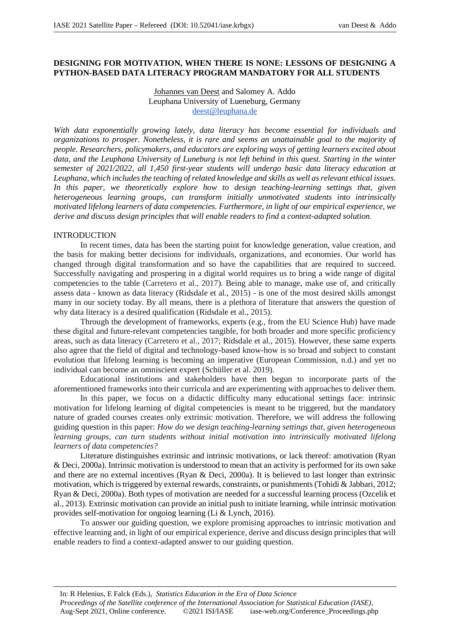# **DESIGNING FOR MOTIVATION, WHEN THERE IS NONE: LESSONS OF DESIGNING A PYTHON-BASED DATA LITERACY PROGRAM MANDATORY FOR ALL STUDENTS**

# Johannes van Deest and Salomey A. Addo Leuphana University of Lueneburg, Germany deest@leuphana.de

*With data exponentially growing lately, data literacy has become essential for individuals and organizations to prosper. Nonetheless, it is rare and seems an unattainable goal to the majority of people. Researchers, policymakers, and educators are exploring ways of getting learners excited about data, and the Leuphana University of Luneburg is not left behind in this quest. Starting in the winter semester of 2021/2022, all 1,450 first-year students will undergo basic data literacy education at Leuphana, which includes the teaching of related knowledge and skills as well as relevant ethical issues.*  In this paper, we theoretically explore how to design teaching-learning settings that, given *heterogeneous learning groups, can transform initially unmotivated students into intrinsically motivated lifelong learners of data competencies. Furthermore, in light of our empirical experience, we derive and discuss design principles that will enable readers to find a context-adapted solution.*

## INTRODUCTION

In recent times, data has been the starting point for knowledge generation, value creation, and the basis for making better decisions for individuals, organizations, and economies. Our world has changed through digital transformation and so have the capabilities that are required to succeed. Successfully navigating and prospering in a digital world requires us to bring a wide range of digital competencies to the table (Carretero et al., 2017). Being able to manage, make use of, and critically assess data - known as data literacy (Ridsdale et al., 2015) - is one of the most desired skills amongst many in our society today. By all means, there is a plethora of literature that answers the question of why data literacy is a desired qualification (Ridsdale et al., 2015).

Through the development of frameworks, experts (e.g., from the EU Science Hub) have made these digital and future-relevant competencies tangible, for both broader and more specific proficiency areas, such as data literacy (Carretero et al., 2017; Ridsdale et al., 2015). However, these same experts also agree that the field of digital and technology-based know-how is so broad and subject to constant evolution that lifelong learning is becoming an imperative (European Commission, n.d.) and yet no individual can become an omniscient expert (Schüller et al. 2019).

Educational institutions and stakeholders have then begun to incorporate parts of the aforementioned frameworks into their curricula and are experimenting with approaches to deliver them.

In this paper, we focus on a didactic difficulty many educational settings face: intrinsic motivation for lifelong learning of digital competencies is meant to be triggered, but the mandatory nature of graded courses creates only extrinsic motivation. Therefore, we will address the following guiding question in this paper: *How do we design teaching-learning settings that, given heterogeneous learning groups, can turn students without initial motivation into intrinsically motivated lifelong learners of data competencies?*

Literature distinguishes extrinsic and intrinsic motivations, or lack thereof: amotivation (Ryan & Deci, 2000a). Intrinsic motivation is understood to mean that an activity is performed for its own sake and there are no external incentives (Ryan & Deci, 2000a). It is believed to last longer than extrinsic motivation, which is triggered by external rewards, constraints, or punishments (Tohidi & Jabbari, 2012; Ryan & Deci, 2000a). Both types of motivation are needed for a successful learning process (Ozcelik et al., 2013). Extrinsic motivation can provide an initial push to initiate learning, while intrinsic motivation provides self-motivation for ongoing learning (Li & Lynch, 2016).

To answer our guiding question, we explore promising approaches to intrinsic motivation and effective learning and, in light of our empirical experience, derive and discuss design principles that will enable readers to find a context-adapted answer to our guiding question.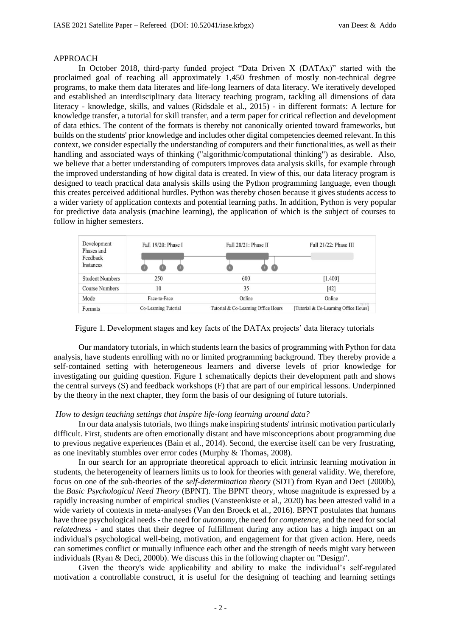### APPROACH

In October 2018, third-party funded project "Data Driven X (DATAx)" started with the proclaimed goal of reaching all approximately 1,450 freshmen of mostly non-technical degree programs, to make them data literates and life-long learners of data literacy. We iteratively developed and established an interdisciplinary data literacy teaching program, tackling all dimensions of data literacy - knowledge, skills, and values (Ridsdale et al., 2015) - in different formats: A lecture for knowledge transfer, a tutorial for skill transfer, and a term paper for critical reflection and development of data ethics. The content of the formats is thereby not canonically oriented toward frameworks, but builds on the students' prior knowledge and includes other digital competencies deemed relevant. In this context, we consider especially the understanding of computers and their functionalities, as well as their handling and associated ways of thinking ("algorithmic/computational thinking") as desirable. Also, we believe that a better understanding of computers improves data analysis skills, for example through the improved understanding of how digital data is created. In view of this, our data literacy program is designed to teach practical data analysis skills using the Python programming language, even though this creates perceived additional hurdles. Python was thereby chosen because it gives students access to a wider variety of application contexts and potential learning paths. In addition, Python is very popular for predictive data analysis (machine learning), the application of which is the subject of courses to follow in higher semesters.





Our mandatory tutorials, in which students learn the basics of programming with Python for data analysis, have students enrolling with no or limited programming background. They thereby provide a self-contained setting with heterogeneous learners and diverse levels of prior knowledge for investigating our guiding question. Figure 1 schematically depicts their development path and shows the central surveys (S) and feedback workshops (F) that are part of our empirical lessons. Underpinned by the theory in the next chapter, they form the basis of our designing of future tutorials.

### *How to design teaching settings that inspire life-long learning around data?*

In our data analysis tutorials, two things make inspiring students' intrinsic motivation particularly difficult. First, students are often emotionally distant and have misconceptions about programming due to previous negative experiences (Bain et al., 2014). Second, the exercise itself can be very frustrating, as one inevitably stumbles over error codes (Murphy & Thomas, 2008).

In our search for an appropriate theoretical approach to elicit intrinsic learning motivation in students, the heterogeneity of learners limits us to look for theories with general validity. We, therefore, focus on one of the sub-theories of the *self-determination theory* (SDT) from Ryan and Deci (2000b), the *Basic Psychological Need Theory* (BPNT). The BPNT theory, whose magnitude is expressed by a rapidly increasing number of empirical studies (Vansteenkiste et al., 2020) has been attested valid in a wide variety of contexts in meta-analyses (Van den Broeck et al., 2016). BPNT postulates that humans have three psychological needs - the need for *autonomy*, the need for *competence*, and the need for social *relatedness* - and states that their degree of fulfillment during any action has a high impact on an individual's psychological well-being, motivation, and engagement for that given action. Here, needs can sometimes conflict or mutually influence each other and the strength of needs might vary between individuals (Ryan & Deci, 2000b). We discuss this in the following chapter on "Design".

Given the theory's wide applicability and ability to make the individual's self-regulated motivation a controllable construct, it is useful for the designing of teaching and learning settings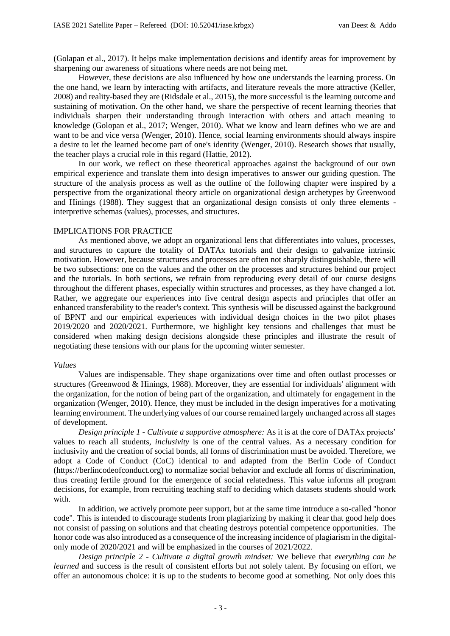(Golapan et al., 2017). It helps make implementation decisions and identify areas for improvement by sharpening our awareness of situations where needs are not being met.

However, these decisions are also influenced by how one understands the learning process. On the one hand, we learn by interacting with artifacts, and literature reveals the more attractive (Keller, 2008) and reality-based they are (Ridsdale et al., 2015), the more successful is the learning outcome and sustaining of motivation. On the other hand, we share the perspective of recent learning theories that individuals sharpen their understanding through interaction with others and attach meaning to knowledge (Golopan et al., 2017; Wenger, 2010). What we know and learn defines who we are and want to be and vice versa (Wenger, 2010). Hence, social learning environments should always inspire a desire to let the learned become part of one's identity (Wenger, 2010). Research shows that usually, the teacher plays a crucial role in this regard (Hattie, 2012).

In our work, we reflect on these theoretical approaches against the background of our own empirical experience and translate them into design imperatives to answer our guiding question. The structure of the analysis process as well as the outline of the following chapter were inspired by a perspective from the organizational theory article on organizational design archetypes by Greenwood and Hinings (1988). They suggest that an organizational design consists of only three elements interpretive schemas (values), processes, and structures.

#### IMPLICATIONS FOR PRACTICE

As mentioned above, we adopt an organizational lens that differentiates into values, processes, and structures to capture the totality of DATAx tutorials and their design to galvanize intrinsic motivation. However, because structures and processes are often not sharply distinguishable, there will be two subsections: one on the values and the other on the processes and structures behind our project and the tutorials. In both sections, we refrain from reproducing every detail of our course designs throughout the different phases, especially within structures and processes, as they have changed a lot. Rather, we aggregate our experiences into five central design aspects and principles that offer an enhanced transferability to the reader's context. This synthesis will be discussed against the background of BPNT and our empirical experiences with individual design choices in the two pilot phases 2019/2020 and 2020/2021. Furthermore, we highlight key tensions and challenges that must be considered when making design decisions alongside these principles and illustrate the result of negotiating these tensions with our plans for the upcoming winter semester.

#### *Values*

Values are indispensable. They shape organizations over time and often outlast processes or structures (Greenwood & Hinings, 1988). Moreover, they are essential for individuals' alignment with the organization, for the notion of being part of the organization, and ultimately for engagement in the organization (Wenger, 2010). Hence, they must be included in the design imperatives for a motivating learning environment. The underlying values of our course remained largely unchanged across all stages of development.

*Design principle 1 - Cultivate a supportive atmosphere:* As it is at the core of DATAx projects' values to reach all students, *inclusivity* is one of the central values. As a necessary condition for inclusivity and the creation of social bonds, all forms of discrimination must be avoided. Therefore, we adopt a Code of Conduct (CoC) identical to and adapted from the Berlin Code of Conduct (https://berlincodeofconduct.org) to normalize social behavior and exclude all forms of discrimination, thus creating fertile ground for the emergence of social relatedness. This value informs all program decisions, for example, from recruiting teaching staff to deciding which datasets students should work with.

In addition, we actively promote peer support, but at the same time introduce a so-called "honor code". This is intended to discourage students from plagiarizing by making it clear that good help does not consist of passing on solutions and that cheating destroys potential competence opportunities. The honor code was also introduced as a consequence of the increasing incidence of plagiarism in the digitalonly mode of 2020/2021 and will be emphasized in the courses of 2021/2022.

*Design principle 2 - Cultivate a digital growth mindset:* We believe that *everything can be learned* and success is the result of consistent efforts but not solely talent. By focusing on effort, we offer an autonomous choice: it is up to the students to become good at something. Not only does this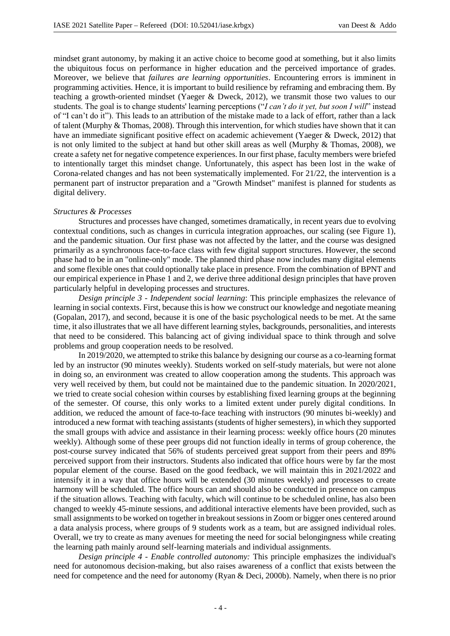mindset grant autonomy, by making it an active choice to become good at something, but it also limits the ubiquitous focus on performance in higher education and the perceived importance of grades. Moreover, we believe that *failures are learning opportunities*. Encountering errors is imminent in programming activities. Hence, it is important to build resilience by reframing and embracing them. By teaching a growth-oriented mindset (Yaeger & Dweck, 2012), we transmit those two values to our students. The goal is to change students' learning perceptions ("*I can't do it yet, but soon I will*" instead of "I can't do it"). This leads to an attribution of the mistake made to a lack of effort, rather than a lack of talent (Murphy & Thomas, 2008). Through this intervention, for which studies have shown that it can have an immediate significant positive effect on academic achievement (Yaeger & Dweck, 2012) that is not only limited to the subject at hand but other skill areas as well (Murphy & Thomas, 2008), we create a safety net for negative competence experiences. In our first phase, faculty members were briefed to intentionally target this mindset change. Unfortunately, this aspect has been lost in the wake of Corona-related changes and has not been systematically implemented. For 21/22, the intervention is a permanent part of instructor preparation and a "Growth Mindset" manifest is planned for students as digital delivery.

#### *Structures & Processes*

Structures and processes have changed, sometimes dramatically, in recent years due to evolving contextual conditions, such as changes in curricula integration approaches, our scaling (see Figure 1), and the pandemic situation. Our first phase was not affected by the latter, and the course was designed primarily as a synchronous face-to-face class with few digital support structures. However, the second phase had to be in an "online-only" mode. The planned third phase now includes many digital elements and some flexible ones that could optionally take place in presence. From the combination of BPNT and our empirical experience in Phase 1 and 2, we derive three additional design principles that have proven particularly helpful in developing processes and structures.

*Design principle 3 - Independent social learning*: This principle emphasizes the relevance of learning in social contexts. First, because this is how we construct our knowledge and negotiate meaning (Gopalan, 2017), and second, because it is one of the basic psychological needs to be met. At the same time, it also illustrates that we all have different learning styles, backgrounds, personalities, and interests that need to be considered. This balancing act of giving individual space to think through and solve problems and group cooperation needs to be resolved.

In 2019/2020, we attempted to strike this balance by designing our course as a co-learning format led by an instructor (90 minutes weekly). Students worked on self-study materials, but were not alone in doing so, an environment was created to allow cooperation among the students. This approach was very well received by them, but could not be maintained due to the pandemic situation. In 2020/2021, we tried to create social cohesion within courses by establishing fixed learning groups at the beginning of the semester. Of course, this only works to a limited extent under purely digital conditions. In addition, we reduced the amount of face-to-face teaching with instructors (90 minutes bi-weekly) and introduced a new format with teaching assistants (students of higher semesters), in which they supported the small groups with advice and assistance in their learning process: weekly office hours (20 minutes weekly). Although some of these peer groups did not function ideally in terms of group coherence, the post-course survey indicated that 56% of students perceived great support from their peers and 89% perceived support from their instructors. Students also indicated that office hours were by far the most popular element of the course. Based on the good feedback, we will maintain this in 2021/2022 and intensify it in a way that office hours will be extended (30 minutes weekly) and processes to create harmony will be scheduled. The office hours can and should also be conducted in presence on campus if the situation allows. Teaching with faculty, which will continue to be scheduled online, has also been changed to weekly 45-minute sessions, and additional interactive elements have been provided, such as small assignments to be worked on together in breakout sessions in Zoom or bigger ones centered around a data analysis process, where groups of 9 students work as a team, but are assigned individual roles. Overall, we try to create as many avenues for meeting the need for social belongingness while creating the learning path mainly around self-learning materials and individual assignments.

*Design principle 4 - Enable controlled autonomy:* This principle emphasizes the individual's need for autonomous decision-making, but also raises awareness of a conflict that exists between the need for competence and the need for autonomy (Ryan & Deci, 2000b). Namely, when there is no prior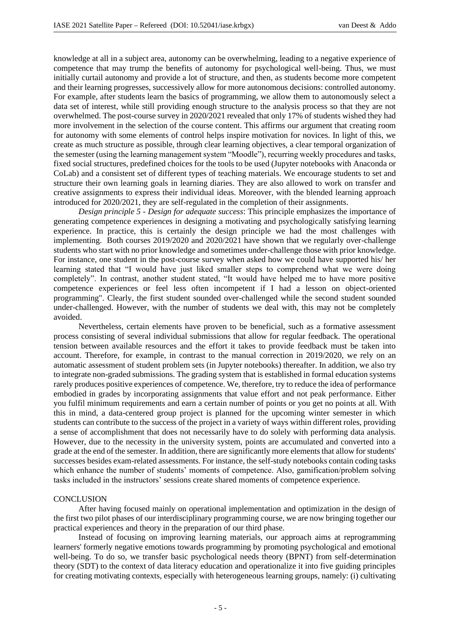knowledge at all in a subject area, autonomy can be overwhelming, leading to a negative experience of competence that may trump the benefits of autonomy for psychological well-being. Thus, we must initially curtail autonomy and provide a lot of structure, and then, as students become more competent and their learning progresses, successively allow for more autonomous decisions: controlled autonomy. For example, after students learn the basics of programming, we allow them to autonomously select a data set of interest, while still providing enough structure to the analysis process so that they are not overwhelmed. The post-course survey in 2020/2021 revealed that only 17% of students wished they had more involvement in the selection of the course content. This affirms our argument that creating room for autonomy with some elements of control helps inspire motivation for novices. In light of this, we create as much structure as possible, through clear learning objectives, a clear temporal organization of the semester (using the learning management system "Moodle"), recurring weekly procedures and tasks, fixed social structures, predefined choices for the tools to be used (Jupyter notebooks with Anaconda or CoLab) and a consistent set of different types of teaching materials. We encourage students to set and structure their own learning goals in learning diaries. They are also allowed to work on transfer and creative assignments to express their individual ideas. Moreover, with the blended learning approach introduced for 2020/2021, they are self-regulated in the completion of their assignments.

*Design principle 5 - Design for adequate success*: This principle emphasizes the importance of generating competence experiences in designing a motivating and psychologically satisfying learning experience. In practice, this is certainly the design principle we had the most challenges with implementing. Both courses 2019/2020 and 2020/2021 have shown that we regularly over-challenge students who start with no prior knowledge and sometimes under-challenge those with prior knowledge. For instance, one student in the post-course survey when asked how we could have supported his/ her learning stated that "I would have just liked smaller steps to comprehend what we were doing completely". In contrast, another student stated, "It would have helped me to have more positive competence experiences or feel less often incompetent if I had a lesson on object-oriented programming". Clearly, the first student sounded over-challenged while the second student sounded under-challenged. However, with the number of students we deal with, this may not be completely avoided.

Nevertheless, certain elements have proven to be beneficial, such as a formative assessment process consisting of several individual submissions that allow for regular feedback. The operational tension between available resources and the effort it takes to provide feedback must be taken into account. Therefore, for example, in contrast to the manual correction in 2019/2020, we rely on an automatic assessment of student problem sets (in Jupyter notebooks) thereafter. In addition, we also try to integrate non-graded submissions. The grading system that is established in formal education systems rarely produces positive experiences of competence. We, therefore, try to reduce the idea of performance embodied in grades by incorporating assignments that value effort and not peak performance. Either you fulfil minimum requirements and earn a certain number of points or you get no points at all. With this in mind, a data-centered group project is planned for the upcoming winter semester in which students can contribute to the success of the project in a variety of ways within different roles, providing a sense of accomplishment that does not necessarily have to do solely with performing data analysis. However, due to the necessity in the university system, points are accumulated and converted into a grade at the end of the semester. In addition, there are significantly more elements that allow for students' successes besides exam-related assessments. For instance, the self-study notebooks contain coding tasks which enhance the number of students' moments of competence. Also, gamification/problem solving tasks included in the instructors' sessions create shared moments of competence experience.

### **CONCLUSION**

After having focused mainly on operational implementation and optimization in the design of the first two pilot phases of our interdisciplinary programming course, we are now bringing together our practical experiences and theory in the preparation of our third phase.

Instead of focusing on improving learning materials, our approach aims at reprogramming learners' formerly negative emotions towards programming by promoting psychological and emotional well-being. To do so, we transfer basic psychological needs theory (BPNT) from self-determination theory (SDT) to the context of data literacy education and operationalize it into five guiding principles for creating motivating contexts, especially with heterogeneous learning groups, namely: (i) cultivating